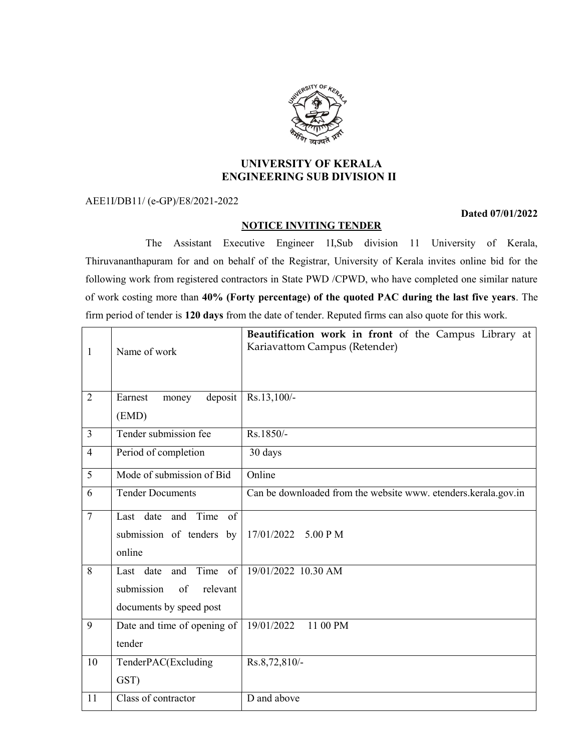

# UNIVERSITY OF KERALA ENGINEERING SUB DIVISION II

AEE1I/DB11/ (e-GP)/E8/2021-2022

#### NOTICE INVITING TENDER

## Dated 07/01/2022

 The Assistant Executive Engineer 1I,Sub division 11 University of Kerala, Thiruvananthapuram for and on behalf of the Registrar, University of Kerala invites online bid for the following work from registered contractors in State PWD /CPWD, who have completed one similar nature of work costing more than 40% (Forty percentage) of the quoted PAC during the last five years. The firm period of tender is 120 days from the date of tender. Reputed firms can also quote for this work.

| $\mathbf{1}$   | Name of work                                                                     | Beautification work in front of the Campus Library at<br>Kariavattom Campus (Retender) |
|----------------|----------------------------------------------------------------------------------|----------------------------------------------------------------------------------------|
| 2              | Earnest<br>deposit<br>money<br>(EMD)                                             | Rs.13,100/-                                                                            |
| $\overline{3}$ | Tender submission fee                                                            | Rs.1850/-                                                                              |
| $\overline{4}$ | Period of completion                                                             | 30 days                                                                                |
| 5              | Mode of submission of Bid                                                        | Online                                                                                 |
| 6              | <b>Tender Documents</b>                                                          | Can be downloaded from the website www. etenders.kerala.gov.in                         |
| $\overline{7}$ | Last date and Time of<br>submission of tenders by<br>online                      | 17/01/2022 5.00 PM                                                                     |
| 8              | Time of<br>Last date and<br>submission<br>of relevant<br>documents by speed post | 19/01/2022 10.30 AM                                                                    |
| 9              | Date and time of opening of<br>tender                                            | 19/01/2022<br>11 00 PM                                                                 |
| 10             | TenderPAC(Excluding<br>GST)                                                      | Rs.8,72,810/-                                                                          |
| 11             | Class of contractor                                                              | D and above                                                                            |